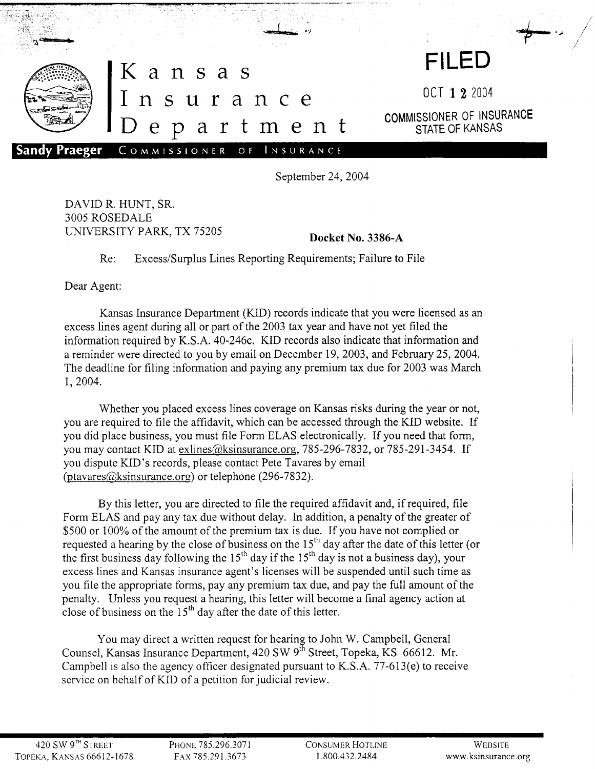

September 24, 2004

DAVID R. HUNT, SR. 3005 ROSEDALE UNIVERSITY PARK, TX <sup>75205</sup> **Docket** No. 3386-A

Re: Excess/Surplus Lines Reporting Requirements; Failure to File

Dear Agent:

Kansas Insurance Department (KID) records indicate that you were licensed as an excess lines agent during all or part of the 2003 tax year and have not yet filed the information required by K.S.A. 40-246c. KID records also indicate that information and a reminder were directed to you by email on December 19, 2003, and February 25,2004. The deadline for filing information and paying any premium tax due for 2003 was March 1,2004.

Whether you placed excess lines coverage on Kansas risks during the year or not, you are required to file the affidavit, which can be accessed through the KID website. If you did place business, you must file Form ELAS electronically. If you need that form, you may contact KID at exlines@ksinsurance.org, 785-296-7832, or 785-291-3454. If you dispute KID's records, please contact Pete Tavares by email (ptavares@ksinsurance.org) or telephone (296-7832).

By this letter, you are directed to file the required affidavit and, if required, file Form ELAS and pay any tax due without delay. In addition, a penalty of the greater of \$500 or 100% of the amount of the premium tax is due. If you have not complied or requested a hearing by the close of business on the  $15<sup>th</sup>$  day after the date of this letter (or the first business day following the  $15<sup>th</sup>$  day if the  $15<sup>th</sup>$  day is not a business day), your excess lines and Kansas insurance agent's licenses will be suspended until such time as you file the appropriate forms, pay any premium tax due, and pay the full amount of the penalty. Unless you request a hearing, this letter will become a final agency action at close of business on the  $15<sup>th</sup>$  day after the date of this letter.

You may direct a written request for hearing to John W. Campbell, General Counsel, Kansas Insurance Department,  $420 \text{ SW } 9^{\text{th}}$  Street, Topeka, KS 66612. Mr. Campbell is also the agency officer designated pursuant to K.S.A. 77-613(e) to receive service on behalf of KID of a petition for judicial review.